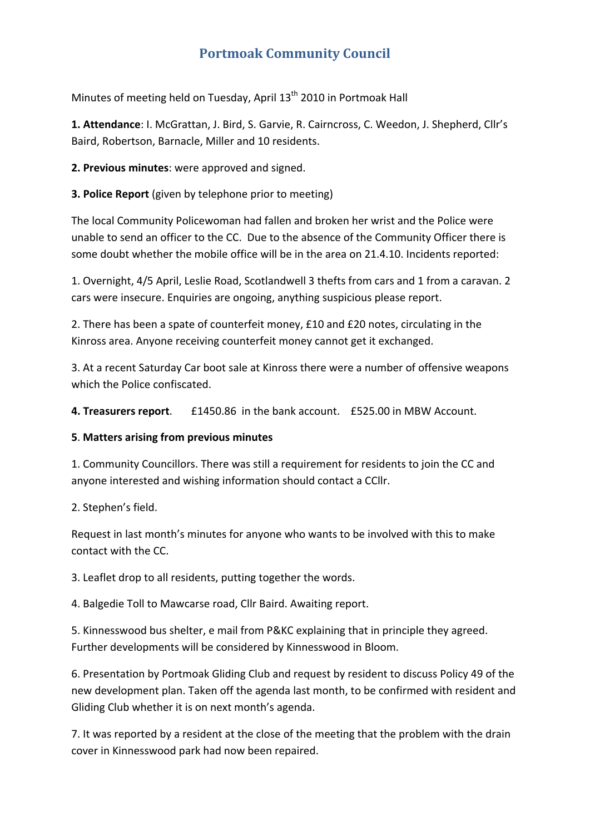# **Portmoak Community Council**

Minutes of meeting held on Tuesday, April 13<sup>th</sup> 2010 in Portmoak Hall

**1. Attendance**: I. McGrattan, J. Bird, S. Garvie, R. Cairncross, C. Weedon, J. Shepherd, Cllr's Baird, Robertson, Barnacle, Miller and 10 residents.

**2. Previous minutes**: were approved and signed.

**3. Police Report** (given by telephone prior to meeting)

The local Community Policewoman had fallen and broken her wrist and the Police were unable to send an officer to the CC. Due to the absence of the Community Officer there is some doubt whether the mobile office will be in the area on 21.4.10. Incidents reported:

1. Overnight, 4/5 April, Leslie Road, Scotlandwell 3 thefts from cars and 1 from a caravan. 2 cars were insecure. Enquiries are ongoing, anything suspicious please report.

2. There has been a spate of counterfeit money, £10 and £20 notes, circulating in the Kinross area. Anyone receiving counterfeit money cannot get it exchanged.

3. At a recent Saturday Car boot sale at Kinross there were a number of offensive weapons which the Police confiscated.

**4. Treasurers report**. £1450.86 in the bank account. £525.00 in MBW Account.

#### **5**. **Matters arising from previous minutes**

1. Community Councillors. There was still a requirement for residents to join the CC and anyone interested and wishing information should contact a CCllr.

2. Stephen's field.

Request in last month's minutes for anyone who wants to be involved with this to make contact with the CC.

3. Leaflet drop to all residents, putting together the words.

4. Balgedie Toll to Mawcarse road, Cllr Baird. Awaiting report.

5. Kinnesswood bus shelter, e mail from P&KC explaining that in principle they agreed. Further developments will be considered by Kinnesswood in Bloom.

6. Presentation by Portmoak Gliding Club and request by resident to discuss Policy 49 of the new development plan. Taken off the agenda last month, to be confirmed with resident and Gliding Club whether it is on next month's agenda.

7. It was reported by a resident at the close of the meeting that the problem with the drain cover in Kinnesswood park had now been repaired.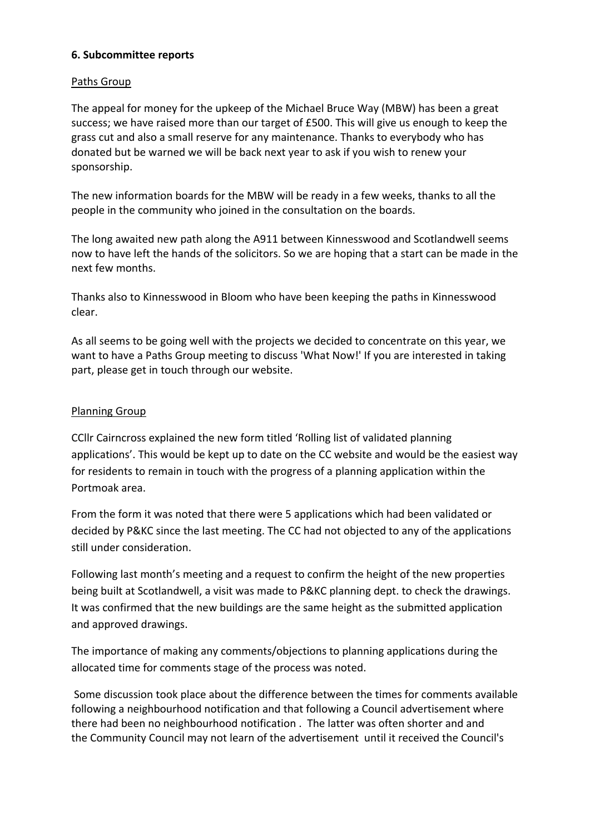## **6. Subcommittee reports**

### Paths Group

The appeal for money for the upkeep of the Michael Bruce Way (MBW) has been a great success; we have raised more than our target of £500. This will give us enough to keep the grass cut and also a small reserve for any maintenance. Thanks to everybody who has donated but be warned we will be back next year to ask if you wish to renew your sponsorship.

The new information boards for the MBW will be ready in a few weeks, thanks to all the people in the community who joined in the consultation on the boards.

The long awaited new path along the A911 between Kinnesswood and Scotlandwell seems now to have left the hands of the solicitors. So we are hoping that a start can be made in the next few months.

Thanks also to Kinnesswood in Bloom who have been keeping the paths in Kinnesswood clear.

As all seems to be going well with the projects we decided to concentrate on this year, we want to have a Paths Group meeting to discuss 'What Now!' If you are interested in taking part, please get in touch through our website.

## Planning Group

CCllr Cairncross explained the new form titled 'Rolling list of validated planning applications'. This would be kept up to date on the CC website and would be the easiest way for residents to remain in touch with the progress of a planning application within the Portmoak area.

From the form it was noted that there were 5 applications which had been validated or decided by P&KC since the last meeting. The CC had not objected to any of the applications still under consideration.

Following last month's meeting and a request to confirm the height of the new properties being built at Scotlandwell, a visit was made to P&KC planning dept. to check the drawings. It was confirmed that the new buildings are the same height as the submitted application and approved drawings.

The importance of making any comments/objections to planning applications during the allocated time for comments stage of the process was noted.

Some discussion took place about the difference between the times for comments available following a neighbourhood notification and that following a Council advertisement where there had been no neighbourhood notification . The latter was often shorter and and the Community Council may not learn of the advertisement until it received the Council's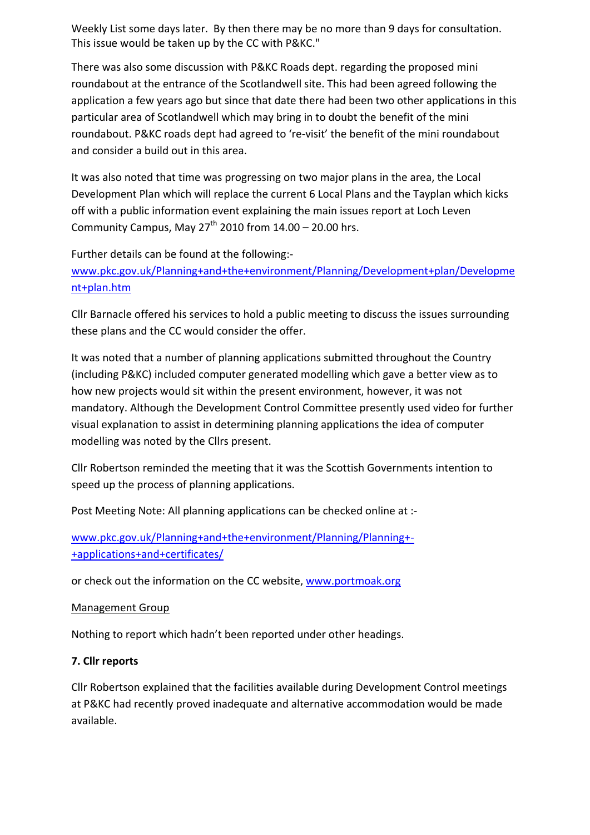Weekly List some days later. By then there may be no more than 9 days for consultation. This issue would be taken up by the CC with P&KC."

There was also some discussion with P&KC Roads dept. regarding the proposed mini roundabout at the entrance of the Scotlandwell site. This had been agreed following the application a few years ago but since that date there had been two other applications in this particular area of Scotlandwell which may bring in to doubt the benefit of the mini roundabout. P&KC roads dept had agreed to 're‐visit' the benefit of the mini roundabout and consider a build out in this area.

It was also noted that time was progressing on two major plans in the area, the Local Development Plan which will replace the current 6 Local Plans and the Tayplan which kicks off with a public information event explaining the main issues report at Loch Leven Community Campus, May  $27<sup>th</sup>$  2010 from  $14.00 - 20.00$  hrs.

Further details can be found at the following:‐

www.pkc.gov.uk/Planning+and+the+environment/Planning/Development+plan/Developme nt+plan.htm

Cllr Barnacle offered his services to hold a public meeting to discuss the issues surrounding these plans and the CC would consider the offer.

It was noted that a number of planning applications submitted throughout the Country (including P&KC) included computer generated modelling which gave a better view as to how new projects would sit within the present environment, however, it was not mandatory. Although the Development Control Committee presently used video for further visual explanation to assist in determining planning applications the idea of computer modelling was noted by the Cllrs present.

Cllr Robertson reminded the meeting that it was the Scottish Governments intention to speed up the process of planning applications.

Post Meeting Note: All planning applications can be checked online at :‐

www.pkc.gov.uk/Planning+and+the+environment/Planning/Planning+‐ +applications+and+certificates/

or check out the information on the CC website, www.portmoak.org

## Management Group

Nothing to report which hadn't been reported under other headings.

## **7. Cllr reports**

Cllr Robertson explained that the facilities available during Development Control meetings at P&KC had recently proved inadequate and alternative accommodation would be made available.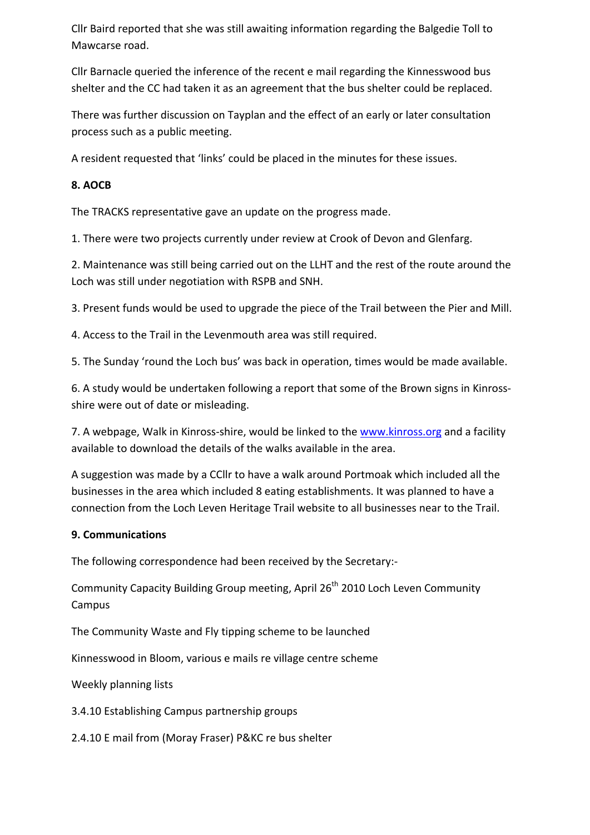Cllr Baird reported that she was still awaiting information regarding the Balgedie Toll to Mawcarse road.

Cllr Barnacle queried the inference of the recent e mail regarding the Kinnesswood bus shelter and the CC had taken it as an agreement that the bus shelter could be replaced.

There was further discussion on Tayplan and the effect of an early or later consultation process such as a public meeting.

A resident requested that 'links' could be placed in the minutes for these issues.

# **8. AOCB**

The TRACKS representative gave an update on the progress made.

1. There were two projects currently under review at Crook of Devon and Glenfarg.

2. Maintenance was still being carried out on the LLHT and the rest of the route around the Loch was still under negotiation with RSPB and SNH.

3. Present funds would be used to upgrade the piece of the Trail between the Pier and Mill.

4. Access to the Trail in the Levenmouth area was still required.

5. The Sunday 'round the Loch bus' was back in operation, times would be made available.

6. A study would be undertaken following a report that some of the Brown signs in Kinross‐ shire were out of date or misleading.

7. A webpage, Walk in Kinross-shire, would be linked to the www.kinross.org and a facility available to download the details of the walks available in the area.

A suggestion was made by a CCllr to have a walk around Portmoak which included all the businesses in the area which included 8 eating establishments. It was planned to have a connection from the Loch Leven Heritage Trail website to all businesses near to the Trail.

## **9. Communications**

The following correspondence had been received by the Secretary:‐

Community Capacity Building Group meeting, April 26<sup>th</sup> 2010 Loch Leven Community Campus

The Community Waste and Fly tipping scheme to be launched

Kinnesswood in Bloom, various e mails re village centre scheme

Weekly planning lists

3.4.10 Establishing Campus partnership groups

2.4.10 E mail from (Moray Fraser) P&KC re bus shelter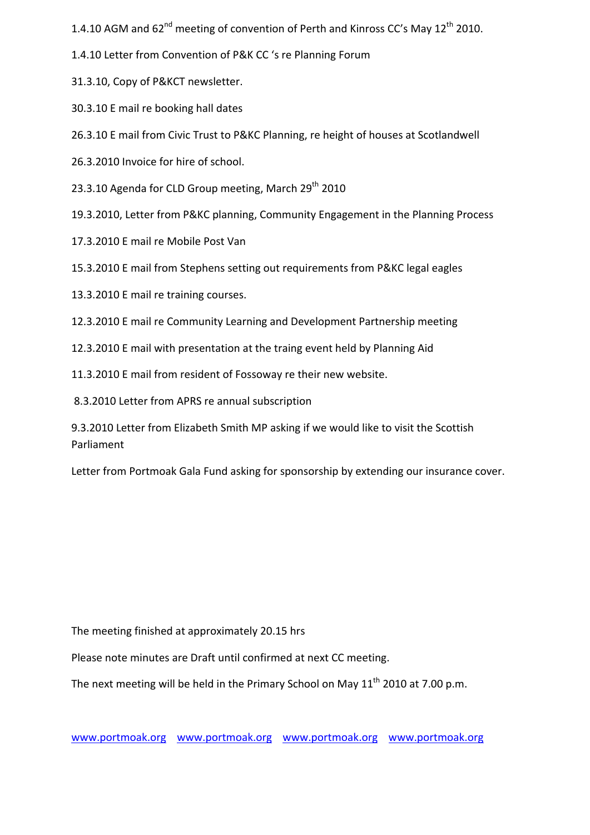1.4.10 AGM and  $62^{nd}$  meeting of convention of Perth and Kinross CC's May  $12^{th}$  2010.

1.4.10 Letter from Convention of P&K CC 's re Planning Forum

31.3.10, Copy of P&KCT newsletter.

30.3.10 E mail re booking hall dates

26.3.10 E mail from Civic Trust to P&KC Planning, re height of houses at Scotlandwell

26.3.2010 Invoice for hire of school.

23.3.10 Agenda for CLD Group meeting, March  $29<sup>th</sup>$  2010

19.3.2010, Letter from P&KC planning, Community Engagement in the Planning Process

17.3.2010 E mail re Mobile Post Van

15.3.2010 E mail from Stephens setting out requirements from P&KC legal eagles

13.3.2010 E mail re training courses.

12.3.2010 E mail re Community Learning and Development Partnership meeting

12.3.2010 E mail with presentation at the traing event held by Planning Aid

11.3.2010 E mail from resident of Fossoway re their new website.

8.3.2010 Letter from APRS re annual subscription

9.3.2010 Letter from Elizabeth Smith MP asking if we would like to visit the Scottish Parliament

Letter from Portmoak Gala Fund asking for sponsorship by extending our insurance cover.

The meeting finished at approximately 20.15 hrs

Please note minutes are Draft until confirmed at next CC meeting.

The next meeting will be held in the Primary School on May  $11<sup>th</sup>$  2010 at 7.00 p.m.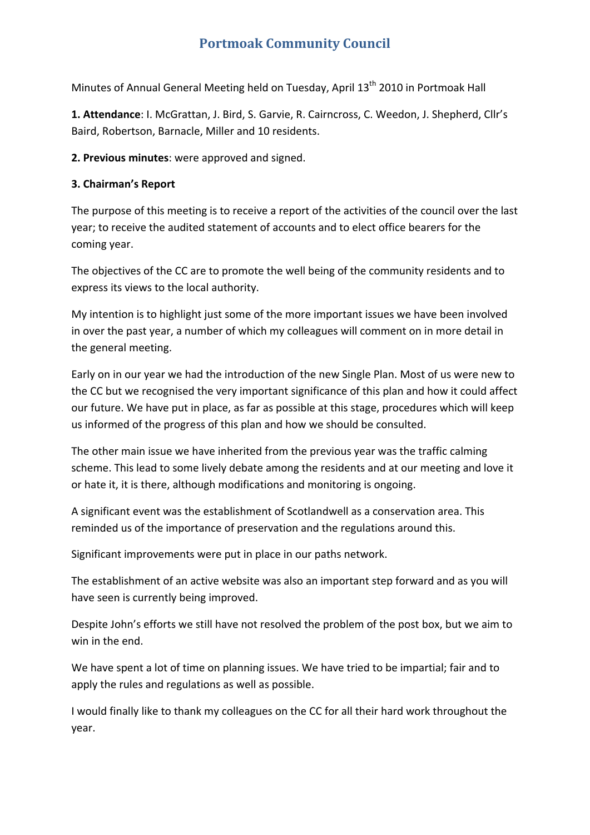# **Portmoak Community Council**

Minutes of Annual General Meeting held on Tuesday, April 13<sup>th</sup> 2010 in Portmoak Hall

**1. Attendance**: I. McGrattan, J. Bird, S. Garvie, R. Cairncross, C. Weedon, J. Shepherd, Cllr's Baird, Robertson, Barnacle, Miller and 10 residents.

**2. Previous minutes**: were approved and signed.

## **3. Chairman's Report**

The purpose of this meeting is to receive a report of the activities of the council over the last year; to receive the audited statement of accounts and to elect office bearers for the coming year.

The objectives of the CC are to promote the well being of the community residents and to express its views to the local authority.

My intention is to highlight just some of the more important issues we have been involved in over the past year, a number of which my colleagues will comment on in more detail in the general meeting.

Early on in our year we had the introduction of the new Single Plan. Most of us were new to the CC but we recognised the very important significance of this plan and how it could affect our future. We have put in place, as far as possible at this stage, procedures which will keep us informed of the progress of this plan and how we should be consulted.

The other main issue we have inherited from the previous year was the traffic calming scheme. This lead to some lively debate among the residents and at our meeting and love it or hate it, it is there, although modifications and monitoring is ongoing.

A significant event was the establishment of Scotlandwell as a conservation area. This reminded us of the importance of preservation and the regulations around this.

Significant improvements were put in place in our paths network.

The establishment of an active website was also an important step forward and as you will have seen is currently being improved.

Despite John's efforts we still have not resolved the problem of the post box, but we aim to win in the end.

We have spent a lot of time on planning issues. We have tried to be impartial; fair and to apply the rules and regulations as well as possible.

I would finally like to thank my colleagues on the CC for all their hard work throughout the year.